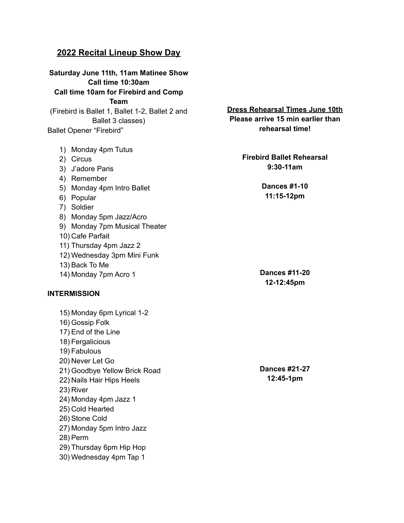# **2022 Recital Lineup Show Day**

**Saturday June 11th, 11am Matinee Show Call time 10:30am Call time 10am for Firebird and Comp Team** (Firebird is Ballet 1, Ballet 1-2, Ballet 2 and Ballet 3 classes) Ballet Opener "Firebird" 1) Monday 4pm Tutus 2) Circus 3) J'adore Paris 4) Remember 5) Monday 4pm Intro Ballet 6) Popular 7) Soldier 8) Monday 5pm Jazz/Acro 9) Monday 7pm Musical Theater 10) Cafe Parfait

- 11) Thursday 4pm Jazz 2
- 12) Wednesday 3pm Mini Funk
- 13) Back To Me
- 14) Monday 7pm Acro 1

#### **INTERMISSION**

15) Monday 6pm Lyrical 1-2 16) Gossip Folk 17) End of the Line 18) Fergalicious 19) Fabulous 20) Never Let Go 21) Goodbye Yellow Brick Road 22) Nails Hair Hips Heels 23) River 24) Monday 4pm Jazz 1 25) Cold Hearted 26) Stone Cold 27) Monday 5pm Intro Jazz 28) Perm 29) Thursday 6pm Hip Hop 30) Wednesday 4pm Tap 1

**Dress Rehearsal Times June 10th Please arrive 15 min earlier than rehearsal time!**

> **Firebird Ballet Rehearsal 9:30-11am**

> > **Dances #1-10 11:15-12pm**

**Dances #11-20 12-12:45pm**

**Dances #21-27 12:45-1pm**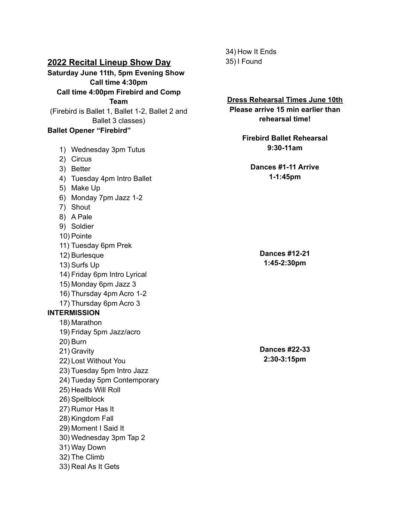## **2022 Recital Lineup Show Day**

**Saturday June 11th, 5pm Evening Show Call time 4:30pm Call time 4:00pm Firebird and Comp Team** (Firebird is Ballet 1, Ballet 1-2, Ballet 2 and Ballet 3 classes)

#### **Ballet Opener "Firebird"**

1) Wednesday 3pm Tutus 2) Circus 3) Better 4) Tuesday 4pm Intro Ballet 5) Make Up 6) Monday 7pm Jazz 1-2 7) Shout 8) A Pale 9) Soldier 10) Pointe 11) Tuesday 6pm Prek 12) Burlesque 13) Surfs Up 14) Friday 6pm Intro Lyrical 15) Monday 6pm Jazz 3 16) Thursday 4pm Acro 1-2 17) Thursday 6pm Acro 3 **INTERMISSION** 18) Marathon 19) Friday 5pm Jazz/acro 20) Burn 21) Gravity 22) Lost Without You 23) Tuesday 5pm Intro Jazz 24) Tueday 5pm Contemporary 25) Heads Will Roll 26) Spellblock 27) Rumor Has It 28) Kingdom Fall 29) Moment I Said It 30) Wednesday 3pm Tap 2 31) Way Down 32) The Climb 33) Real As It Gets

34) How It Ends 35) I Found

**Dress Rehearsal Times June 10th Please arrive 15 min earlier than rehearsal time! Firebird Ballet Rehearsal 9:30-11am Dances #1-11 Arrive 1-1:45pm Dances #12-21 1:45-2:30pm Dances #22-33 2:30-3:15pm**